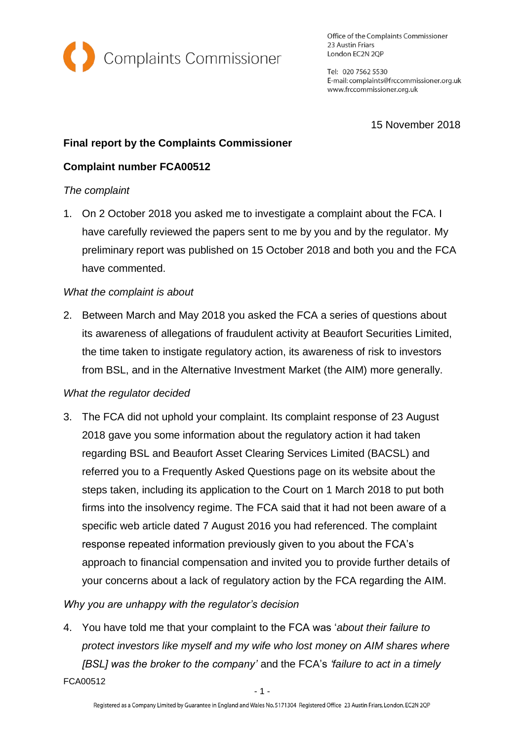

Office of the Complaints Commissioner 23 Austin Friars London EC2N 2QP

Tel: 020 7562 5530 E-mail: complaints@frccommissioner.org.uk www.frccommissioner.org.uk

15 November 2018

# **Final report by the Complaints Commissioner**

# **Complaint number FCA00512**

### *The complaint*

1. On 2 October 2018 you asked me to investigate a complaint about the FCA. I have carefully reviewed the papers sent to me by you and by the regulator. My preliminary report was published on 15 October 2018 and both you and the FCA have commented.

### *What the complaint is about*

2. Between March and May 2018 you asked the FCA a series of questions about its awareness of allegations of fraudulent activity at Beaufort Securities Limited, the time taken to instigate regulatory action, its awareness of risk to investors from BSL, and in the Alternative Investment Market (the AIM) more generally.

### *What the regulator decided*

3. The FCA did not uphold your complaint. Its complaint response of 23 August 2018 gave you some information about the regulatory action it had taken regarding BSL and Beaufort Asset Clearing Services Limited (BACSL) and referred you to a Frequently Asked Questions page on its website about the steps taken, including its application to the Court on 1 March 2018 to put both firms into the insolvency regime. The FCA said that it had not been aware of a specific web article dated 7 August 2016 you had referenced. The complaint response repeated information previously given to you about the FCA's approach to financial compensation and invited you to provide further details of your concerns about a lack of regulatory action by the FCA regarding the AIM.

## *Why you are unhappy with the regulator's decision*

4. You have told me that your complaint to the FCA was '*about their failure to protect investors like myself and my wife who lost money on AIM shares where [BSL] was the broker to the company'* and the FCA's *'failure to act in a timely* 

FCA00512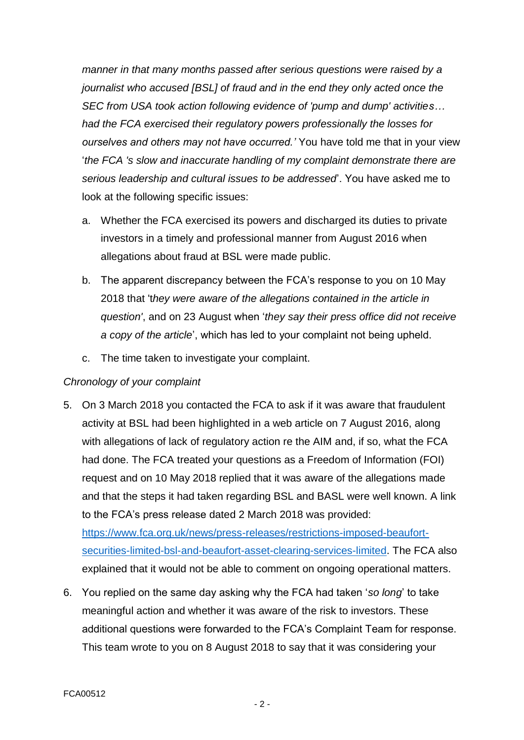*manner in that many months passed after serious questions were raised by a journalist who accused [BSL] of fraud and in the end they only acted once the SEC from USA took action following evidence of 'pump and dump' activities… had the FCA exercised their regulatory powers professionally the losses for ourselves and others may not have occurred.'* You have told me that in your view '*the FCA 's slow and inaccurate handling of my complaint demonstrate there are serious leadership and cultural issues to be addressed*'. You have asked me to look at the following specific issues:

- a. Whether the FCA exercised its powers and discharged its duties to private investors in a timely and professional manner from August 2016 when allegations about fraud at BSL were made public.
- b. The apparent discrepancy between the FCA's response to you on 10 May 2018 that 't*hey were aware of the allegations contained in the article in question'*, and on 23 August when '*they say their press office did not receive a copy of the article*', which has led to your complaint not being upheld.
- c. The time taken to investigate your complaint.

## *Chronology of your complaint*

5. On 3 March 2018 you contacted the FCA to ask if it was aware that fraudulent activity at BSL had been highlighted in a web article on 7 August 2016, along with allegations of lack of regulatory action re the AIM and, if so, what the FCA had done. The FCA treated your questions as a Freedom of Information (FOI) request and on 10 May 2018 replied that it was aware of the allegations made and that the steps it had taken regarding BSL and BASL were well known. A link to the FCA's press release dated 2 March 2018 was provided:

[https://www.fca.org.uk/news/press-releases/restrictions-imposed-beaufort](https://www.fca.org.uk/news/press-releases/restrictions-imposed-beaufort-securities-limited-bsl-and-beaufort-asset-clearing-services-limited)[securities-limited-bsl-and-beaufort-asset-clearing-services-limited.](https://www.fca.org.uk/news/press-releases/restrictions-imposed-beaufort-securities-limited-bsl-and-beaufort-asset-clearing-services-limited) The FCA also explained that it would not be able to comment on ongoing operational matters.

6. You replied on the same day asking why the FCA had taken '*so long*' to take meaningful action and whether it was aware of the risk to investors. These additional questions were forwarded to the FCA's Complaint Team for response. This team wrote to you on 8 August 2018 to say that it was considering your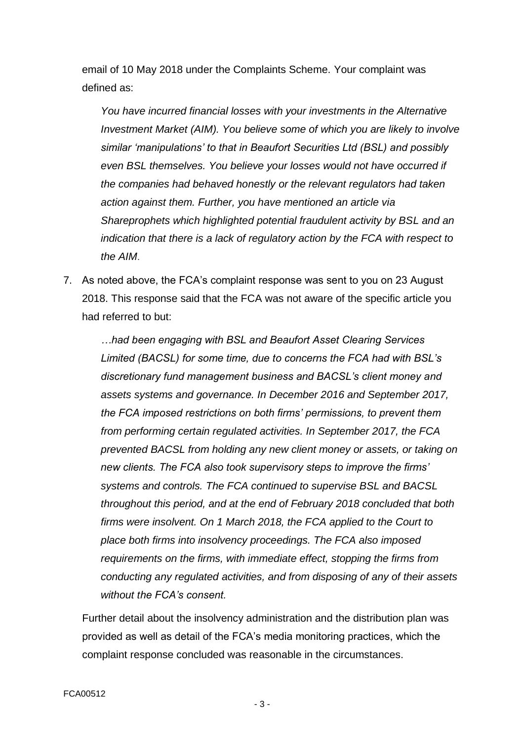email of 10 May 2018 under the Complaints Scheme. Your complaint was defined as:

*You have incurred financial losses with your investments in the Alternative Investment Market (AIM). You believe some of which you are likely to involve similar 'manipulations' to that in Beaufort Securities Ltd (BSL) and possibly even BSL themselves. You believe your losses would not have occurred if the companies had behaved honestly or the relevant regulators had taken action against them. Further, you have mentioned an article via Shareprophets which highlighted potential fraudulent activity by BSL and an indication that there is a lack of regulatory action by the FCA with respect to the AIM*.

7. As noted above, the FCA's complaint response was sent to you on 23 August 2018. This response said that the FCA was not aware of the specific article you had referred to but:

*…had been engaging with BSL and Beaufort Asset Clearing Services Limited (BACSL) for some time, due to concerns the FCA had with BSL's discretionary fund management business and BACSL's client money and assets systems and governance. In December 2016 and September 2017, the FCA imposed restrictions on both firms' permissions, to prevent them from performing certain regulated activities. In September 2017, the FCA prevented BACSL from holding any new client money or assets, or taking on new clients. The FCA also took supervisory steps to improve the firms' systems and controls. The FCA continued to supervise BSL and BACSL throughout this period, and at the end of February 2018 concluded that both firms were insolvent. On 1 March 2018, the FCA applied to the Court to place both firms into insolvency proceedings. The FCA also imposed requirements on the firms, with immediate effect, stopping the firms from conducting any regulated activities, and from disposing of any of their assets without the FCA's consent.*

Further detail about the insolvency administration and the distribution plan was provided as well as detail of the FCA's media monitoring practices, which the complaint response concluded was reasonable in the circumstances.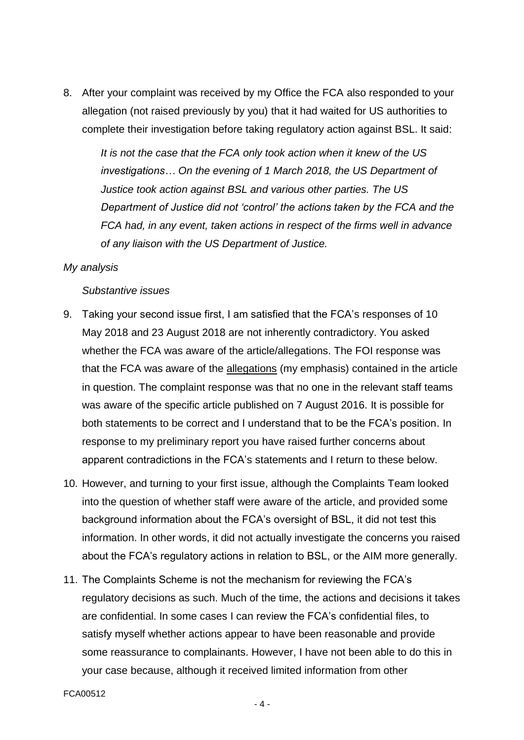8. After your complaint was received by my Office the FCA also responded to your allegation (not raised previously by you) that it had waited for US authorities to complete their investigation before taking regulatory action against BSL. It said:

*It is not the case that the FCA only took action when it knew of the US investigations… On the evening of 1 March 2018, the US Department of Justice took action against BSL and various other parties. The US Department of Justice did not 'control' the actions taken by the FCA and the FCA had, in any event, taken actions in respect of the firms well in advance of any liaison with the US Department of Justice.*

#### *My analysis*

#### *Substantive issues*

- 9. Taking your second issue first, I am satisfied that the FCA's responses of 10 May 2018 and 23 August 2018 are not inherently contradictory. You asked whether the FCA was aware of the article/allegations. The FOI response was that the FCA was aware of the allegations (my emphasis) contained in the article in question. The complaint response was that no one in the relevant staff teams was aware of the specific article published on 7 August 2016. It is possible for both statements to be correct and I understand that to be the FCA's position. In response to my preliminary report you have raised further concerns about apparent contradictions in the FCA's statements and I return to these below.
- 10. However, and turning to your first issue, although the Complaints Team looked into the question of whether staff were aware of the article, and provided some background information about the FCA's oversight of BSL, it did not test this information. In other words, it did not actually investigate the concerns you raised about the FCA's regulatory actions in relation to BSL, or the AIM more generally.
- 11. The Complaints Scheme is not the mechanism for reviewing the FCA's regulatory decisions as such. Much of the time, the actions and decisions it takes are confidential. In some cases I can review the FCA's confidential files, to satisfy myself whether actions appear to have been reasonable and provide some reassurance to complainants. However, I have not been able to do this in your case because, although it received limited information from other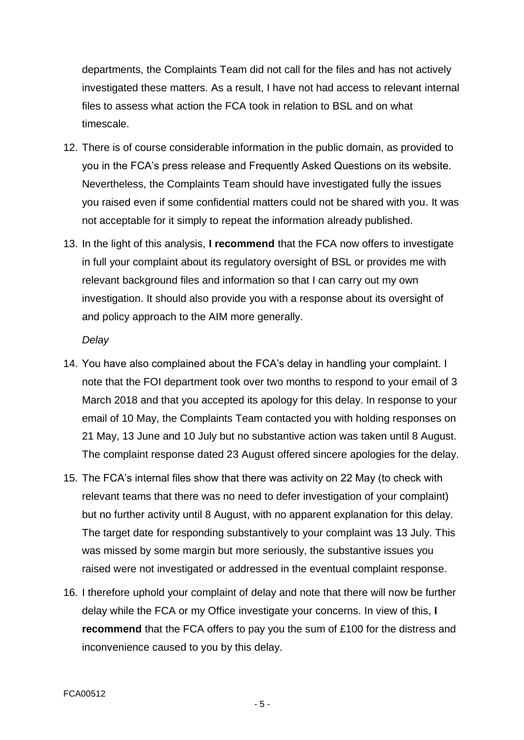departments, the Complaints Team did not call for the files and has not actively investigated these matters. As a result, I have not had access to relevant internal files to assess what action the FCA took in relation to BSL and on what timescale.

- 12. There is of course considerable information in the public domain, as provided to you in the FCA's press release and Frequently Asked Questions on its website. Nevertheless, the Complaints Team should have investigated fully the issues you raised even if some confidential matters could not be shared with you. It was not acceptable for it simply to repeat the information already published.
- 13. In the light of this analysis, **I recommend** that the FCA now offers to investigate in full your complaint about its regulatory oversight of BSL or provides me with relevant background files and information so that I can carry out my own investigation. It should also provide you with a response about its oversight of and policy approach to the AIM more generally.

#### *Delay*

- 14. You have also complained about the FCA's delay in handling your complaint. I note that the FOI department took over two months to respond to your email of 3 March 2018 and that you accepted its apology for this delay. In response to your email of 10 May, the Complaints Team contacted you with holding responses on 21 May, 13 June and 10 July but no substantive action was taken until 8 August. The complaint response dated 23 August offered sincere apologies for the delay.
- 15. The FCA's internal files show that there was activity on 22 May (to check with relevant teams that there was no need to defer investigation of your complaint) but no further activity until 8 August, with no apparent explanation for this delay. The target date for responding substantively to your complaint was 13 July. This was missed by some margin but more seriously, the substantive issues you raised were not investigated or addressed in the eventual complaint response.
- 16. I therefore uphold your complaint of delay and note that there will now be further delay while the FCA or my Office investigate your concerns. In view of this, **I recommend** that the FCA offers to pay you the sum of £100 for the distress and inconvenience caused to you by this delay.